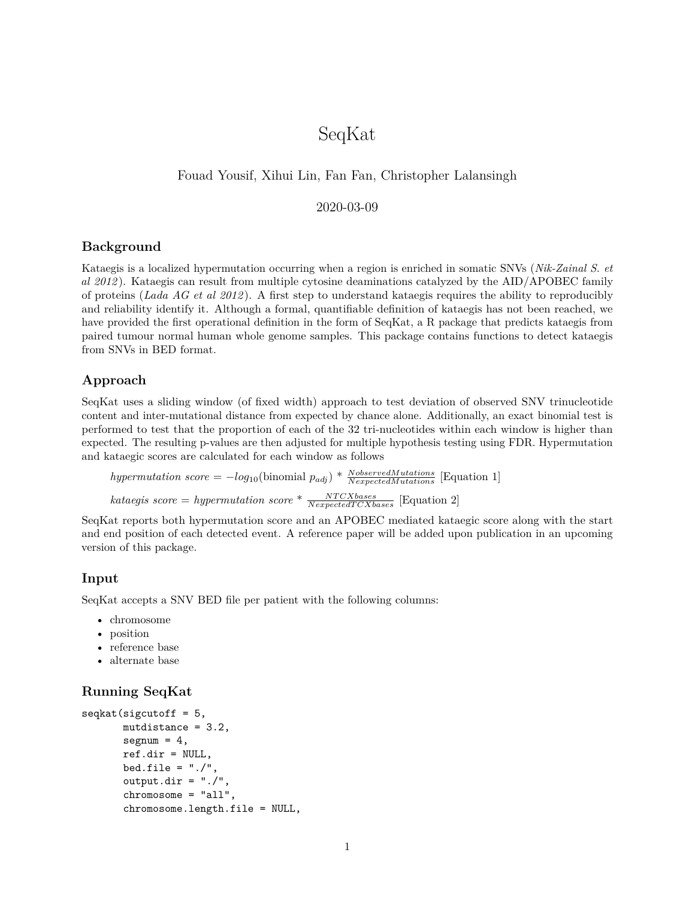# SeqKat

# Fouad Yousif, Xihui Lin, Fan Fan, Christopher Lalansingh

## 2020-03-09

## **Background**

Kataegis is a localized hypermutation occurring when a region is enriched in somatic SNVs (*Nik-Zainal S. et al 2012* ). Kataegis can result from multiple cytosine deaminations catalyzed by the AID/APOBEC family of proteins (*Lada AG et al 2012* ). A first step to understand kataegis requires the ability to reproducibly and reliability identify it. Although a formal, quantifiable definition of kataegis has not been reached, we have provided the first operational definition in the form of SeqKat, a R package that predicts kataegis from paired tumour normal human whole genome samples. This package contains functions to detect kataegis from SNVs in BED format.

## **Approach**

SeqKat uses a sliding window (of fixed width) approach to test deviation of observed SNV trinucleotide content and inter-mutational distance from expected by chance alone. Additionally, an exact binomial test is performed to test that the proportion of each of the 32 tri-nucleotides within each window is higher than expected. The resulting p-values are then adjusted for multiple hypothesis testing using FDR. Hypermutation and kataegic scores are calculated for each window as follows

*hypermutation score* =  $-log_{10}(\text{binomial } p_{adj}) * \frac{NobservedMulations}{NexpectedMutations}$  [Equation 1]  $\text{kataegis score} = \text{hypermutation score} * \frac{\text{NTCXbases}}{\text{NexpectedTCXbases}}$  [Equation 2]

SeqKat reports both hypermutation score and an APOBEC mediated kataegic score along with the start and end position of each detected event. A reference paper will be added upon publication in an upcoming version of this package.

#### **Input**

SeqKat accepts a SNV BED file per patient with the following columns:

- chromosome
- position
- reference base
- alternate base

# **Running SeqKat**

```
seqkat(sigcutoff = 5,mutdistance = 3.2,segnum = 4,
       ref.dir = NULL,
       bed.file = "./",output.dir = "./",chromosome = "all",
       chromosome.length.file = NULL,
```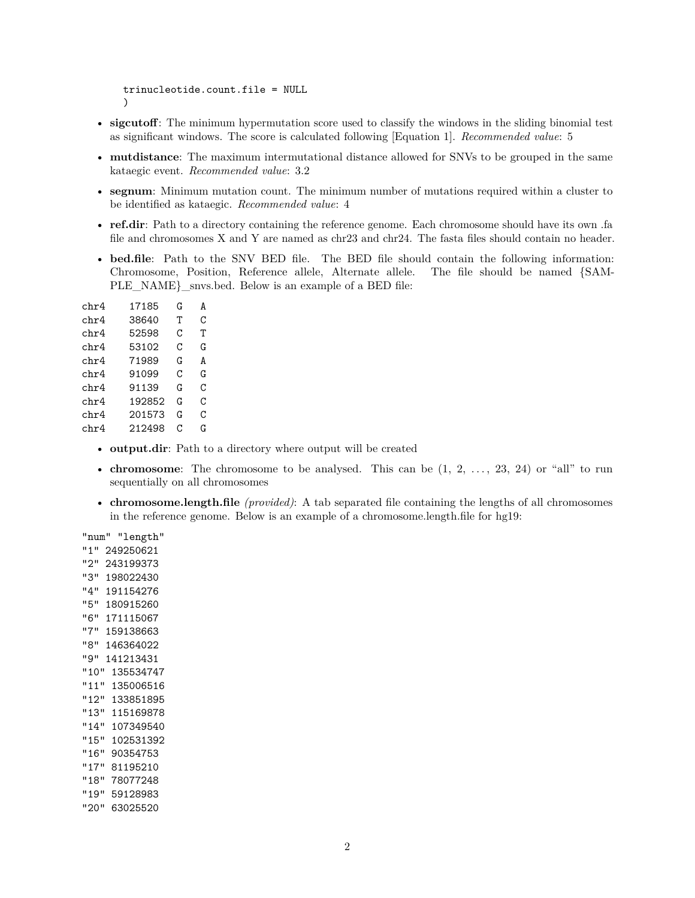```
trinucleotide.count.file = NULL
)
```
- **sigcutoff**: The minimum hypermutation score used to classify the windows in the sliding binomial test as significant windows. The score is calculated following [Equation 1]. *Recommended value*: 5
- **mutdistance**: The maximum intermutational distance allowed for SNVs to be grouped in the same kataegic event. *Recommended value*: 3.2
- **segnum**: Minimum mutation count. The minimum number of mutations required within a cluster to be identified as kataegic. *Recommended value*: 4
- **ref.dir**: Path to a directory containing the reference genome. Each chromosome should have its own .fa file and chromosomes X and Y are named as chr23 and chr24. The fasta files should contain no header.
- **bed.file**: Path to the SNV BED file. The BED file should contain the following information: Chromosome, Position, Reference allele, Alternate allele. The file should be named {SAM-PLE\_NAME}\_snvs.bed. Below is an example of a BED file:

| chr4 | 17185  | G | A |
|------|--------|---|---|
| chr4 | 38640  | т | C |
| chr4 | 52598  | C | т |
| chr4 | 53102  | C | G |
| chr4 | 71989  | G | A |
| chr4 | 91099  | C | G |
| chr4 | 91139  | G | C |
| chr4 | 192852 | G | C |
| chr4 | 201573 | G | C |
| chr4 | 212498 | C | G |
|      |        |   |   |

- **output.dir**: Path to a directory where output will be created
- **chromosome**: The chromosome to be analysed. This can be  $(1, 2, \ldots, 23, 24)$  or "all" to run sequentially on all chromosomes
- **chromosome.length.file** *(provided)*: A tab separated file containing the lengths of all chromosomes in the reference genome. Below is an example of a chromosome.length.file for hg19:

"num" "length" "1" 249250621 "2" 243199373 "3" 198022430 "4" 191154276 "5" 180915260 "6" 171115067 "7" 159138663 "8" 146364022 "9" 141213431 "10" 135534747 "11" 135006516 "12" 133851895 "13" 115169878 "14" 107349540 "15" 102531392 "16" 90354753 "17" 81195210 "18" 78077248 "19" 59128983 "20" 63025520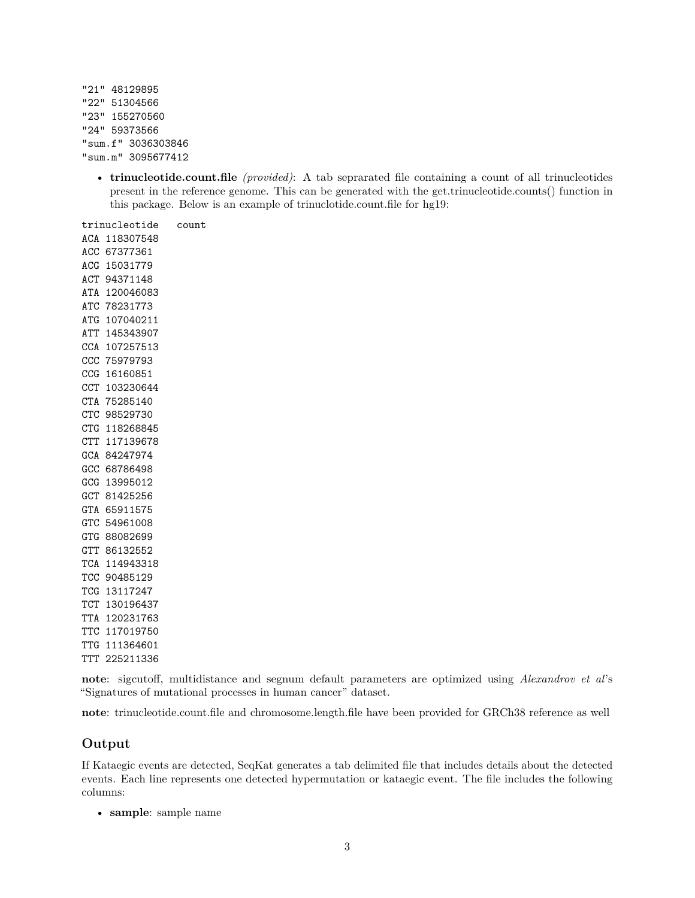"21" 48129895 "22" 51304566 "23" 155270560 "24" 59373566 "sum.f" 3036303846 "sum.m" 3095677412

> • **trinucleotide.count.file** *(provided)*: A tab seprarated file containing a count of all trinucleotides present in the reference genome. This can be generated with the get.trinucleotide.counts() function in this package. Below is an example of trinuclotide.count.file for hg19:

trinucleotide count ACA 118307548 ACC 67377361 ACG 15031779 ACT 94371148 ATA 120046083 ATC 78231773 ATG 107040211 ATT 145343907 CCA 107257513 CCC 75979793 CCG 16160851 CCT 103230644 CTA 75285140 CTC 98529730 CTG 118268845 CTT 117139678 GCA 84247974 GCC 68786498 GCG 13995012 GCT 81425256 GTA 65911575 GTC 54961008 GTG 88082699 GTT 86132552 TCA 114943318 TCC 90485129 TCG 13117247 TCT 130196437 TTA 120231763 TTC 117019750 TTG 111364601 TTT 225211336

**note**: sigcutoff, multidistance and segnum default parameters are optimized using *Alexandrov et al*'s "Signatures of mutational processes in human cancer" dataset.

**note**: trinucleotide.count.file and chromosome.length.file have been provided for GRCh38 reference as well

### **Output**

If Kataegic events are detected, SeqKat generates a tab delimited file that includes details about the detected events. Each line represents one detected hypermutation or kataegic event. The file includes the following columns:

• **sample**: sample name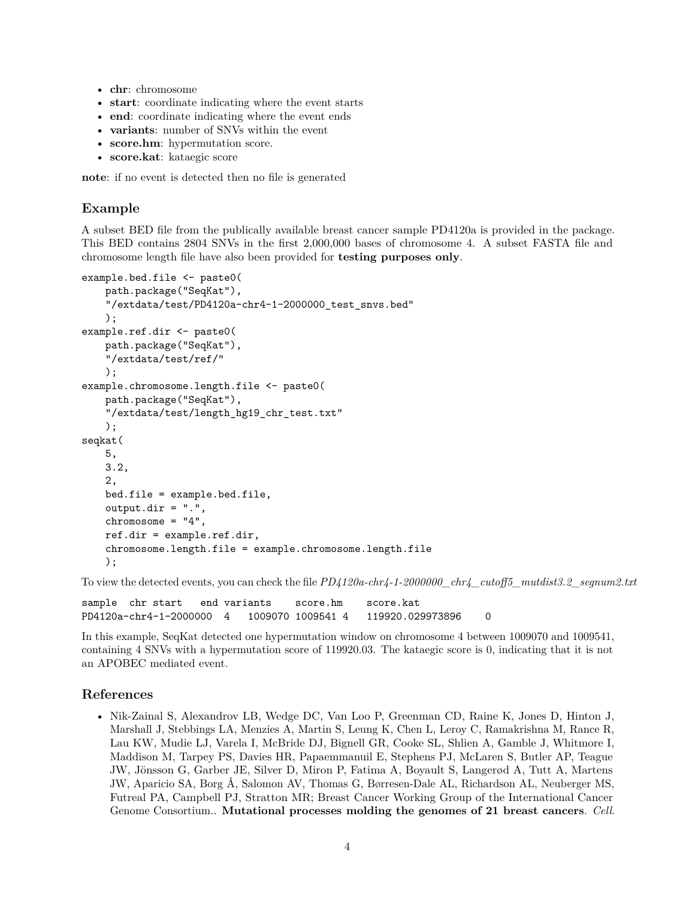- **chr**: chromosome
- **start**: coordinate indicating where the event starts
- **end**: coordinate indicating where the event ends
- **variants**: number of SNVs within the event
- **score.hm**: hypermutation score.
- **score.kat**: kataegic score

**note**: if no event is detected then no file is generated

## **Example**

A subset BED file from the publically available breast cancer sample PD4120a is provided in the package. This BED contains 2804 SNVs in the first 2,000,000 bases of chromosome 4. A subset FASTA file and chromosome length file have also been provided for **testing purposes only**.

```
example.bed.file <- paste0(
    path.package("SeqKat"),
    "/extdata/test/PD4120a-chr4-1-2000000_test_snvs.bed"
    );
example.ref.dir <- paste0(
    path.package("SeqKat"),
    "/extdata/test/ref/"
    );
example.chromosome.length.file <- paste0(
    path.package("SeqKat"),
    "/extdata/test/length hg19 chr test.txt"
    );
seqkat(
    5,
    3.2,
    2,
    bed.file = example.bed.file,
    output.dir = ".",
    chromosome = "4",
    ref.dir = example.ref.dir,
    chromosome.length.file = example.chromosome.length.file
    );
```
To view the detected events, you can check the file  $PD4120a\text{-}chr4-1-2000000\text{ }chr4\text{ }cutoff5\text{ }mutdist3.2\text{ }segnum2.txt$ 

sample chr start end variants score.hm score.kat PD4120a-chr4-1-2000000 4 1009070 1009541 4 119920.029973896 0

In this example, SeqKat detected one hypermutation window on chromosome 4 between 1009070 and 1009541, containing 4 SNVs with a hypermutation score of 119920.03. The kataegic score is 0, indicating that it is not an APOBEC mediated event.

## **References**

• Nik-Zainal S, Alexandrov LB, Wedge DC, Van Loo P, Greenman CD, Raine K, Jones D, Hinton J, Marshall J, Stebbings LA, Menzies A, Martin S, Leung K, Chen L, Leroy C, Ramakrishna M, Rance R, Lau KW, Mudie LJ, Varela I, McBride DJ, Bignell GR, Cooke SL, Shlien A, Gamble J, Whitmore I, Maddison M, Tarpey PS, Davies HR, Papaemmanuil E, Stephens PJ, McLaren S, Butler AP, Teague JW, Jönsson G, Garber JE, Silver D, Miron P, Fatima A, Boyault S, Langerød A, Tutt A, Martens JW, Aparicio SA, Borg Å, Salomon AV, Thomas G, Børresen-Dale AL, Richardson AL, Neuberger MS, Futreal PA, Campbell PJ, Stratton MR; Breast Cancer Working Group of the International Cancer Genome Consortium.. **Mutational processes molding the genomes of 21 breast cancers**. *Cell*.